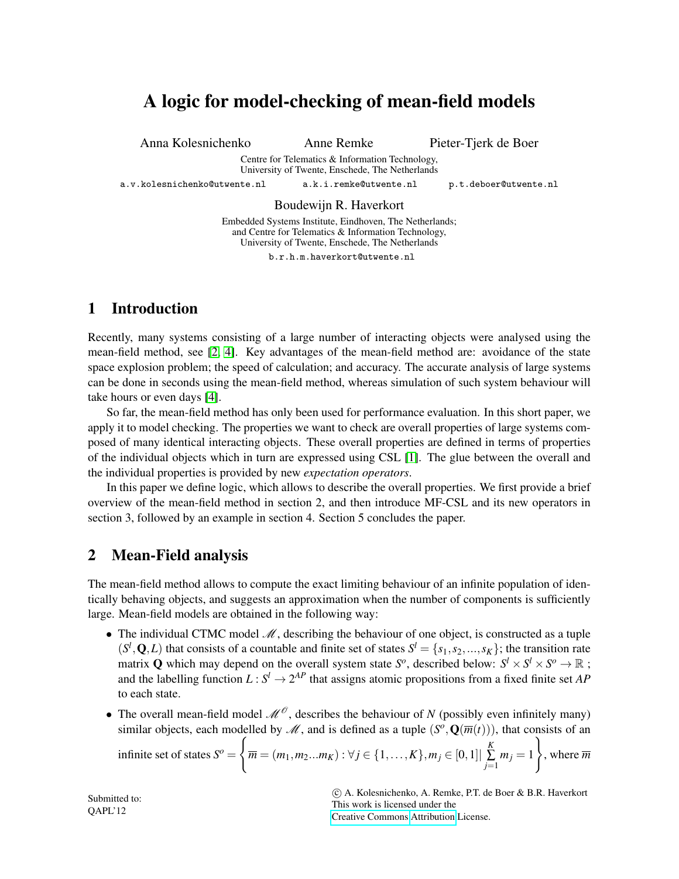# A logic for model-checking of mean-field models

Anna Kolesnichenko Anne Remke Pieter-Tjerk de Boer

Centre for Telematics & Information Technology, University of Twente, Enschede, The Netherlands

a.v.kolesnichenko@utwente.nl a.k.i.remke@utwente.nl p.t.deboer@utwente.nl

#### Boudewijn R. Haverkort

Embedded Systems Institute, Eindhoven, The Netherlands; and Centre for Telematics & Information Technology, University of Twente, Enschede, The Netherlands

b.r.h.m.haverkort@utwente.nl

## 1 Introduction

Recently, many systems consisting of a large number of interacting objects were analysed using the mean-field method, see [\[2,](#page-3-0) [4\]](#page-3-1). Key advantages of the mean-field method are: avoidance of the state space explosion problem; the speed of calculation; and accuracy. The accurate analysis of large systems can be done in seconds using the mean-field method, whereas simulation of such system behaviour will take hours or even days [\[4\]](#page-3-1).

So far, the mean-field method has only been used for performance evaluation. In this short paper, we apply it to model checking. The properties we want to check are overall properties of large systems composed of many identical interacting objects. These overall properties are defined in terms of properties of the individual objects which in turn are expressed using CSL [\[1\]](#page-3-2). The glue between the overall and the individual properties is provided by new *expectation operators*.

In this paper we define logic, which allows to describe the overall properties. We first provide a brief overview of the mean-field method in section 2, and then introduce MF-CSL and its new operators in section 3, followed by an example in section 4. Section 5 concludes the paper.

## <span id="page-0-0"></span>2 Mean-Field analysis

The mean-field method allows to compute the exact limiting behaviour of an infinite population of identically behaving objects, and suggests an approximation when the number of components is sufficiently large. Mean-field models are obtained in the following way:

- The individual CTMC model  $M$ , describing the behaviour of one object, is constructed as a tuple  $(S^l, Q, L)$  that consists of a countable and finite set of states  $S^l = \{s_1, s_2, ..., s_K\}$ ; the transition rate matrix Q which may depend on the overall system state  $S^o$ , described below:  $S^l \times S^l \times S^o \to \mathbb{R}$ ; and the labelling function  $L: S^l \to 2^{AP}$  that assigns atomic propositions from a fixed finite set *AP* to each state.
- The overall mean-field model  $\mathcal{M}^{\mathcal{O}}$ , describes the behaviour of *N* (possibly even infinitely many) similar objects, each modelled by  $\mathcal{M}$ , and is defined as a tuple  $(S^o, \mathbf{Q}(\overline{m}(t)))$ , that consists of an

infinite set of states 
$$
S^o = \left\{ \overline{m} = (m_1, m_2...m_K) : \forall j \in \{1, ..., K\}, m_j \in [0,1] \mid \sum_{j=1}^K m_j = 1 \right\}
$$
, where  $\overline{m}$ 

 c A. Kolesnichenko, A. Remke, P.T. de Boer & B.R. Haverkort This work is licensed under the [Creative Commons](http://creativecommons.org) [Attribution](http://creativecommons.org/licenses/by/3.0/) License.

Submitted to: QAPL'12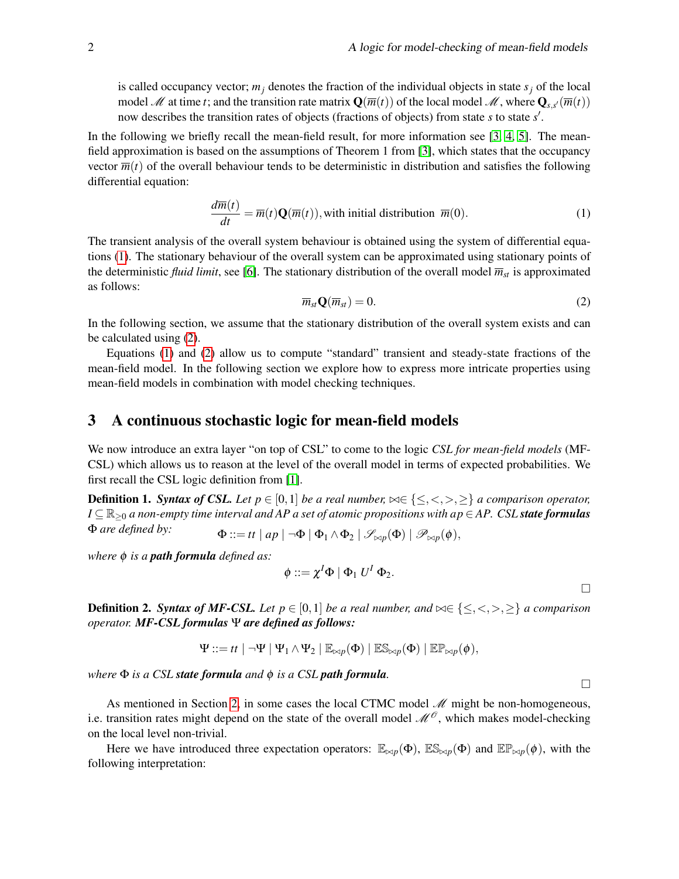is called occupancy vector;  $m_j$  denotes the fraction of the individual objects in state  $s_j$  of the local model M at time *t*; and the transition rate matrix  $\mathbf{Q}(\overline{m}(t))$  of the local model M, where  $\mathbf{Q}_{s,s'}(\overline{m}(t))$ now describes the transition rates of objects (fractions of objects) from state *s* to state *s'*.

In the following we briefly recall the mean-field result, for more information see [\[3,](#page-3-3) [4,](#page-3-1) [5\]](#page-3-4). The meanfield approximation is based on the assumptions of Theorem 1 from [\[3\]](#page-3-3), which states that the occupancy vector  $\overline{m}(t)$  of the overall behaviour tends to be deterministic in distribution and satisfies the following differential equation:

<span id="page-1-0"></span>
$$
\frac{d\overline{m}(t)}{dt} = \overline{m}(t)\mathbf{Q}(\overline{m}(t)),
$$
 with initial distribution  $\overline{m}(0)$ . (1)

<span id="page-1-1"></span>The transient analysis of the overall system behaviour is obtained using the system of differential equations [\(1\)](#page-1-0). The stationary behaviour of the overall system can be approximated using stationary points of the deterministic *fluid limit*, see [\[6\]](#page-3-5). The stationary distribution of the overall model  $\overline{m}_{st}$  is approximated as follows:

$$
\overline{m}_{st} \mathbf{Q}(\overline{m}_{st}) = 0. \tag{2}
$$

In the following section, we assume that the stationary distribution of the overall system exists and can be calculated using [\(2\)](#page-1-1).

Equations [\(1\)](#page-1-0) and [\(2\)](#page-1-1) allow us to compute "standard" transient and steady-state fractions of the mean-field model. In the following section we explore how to express more intricate properties using mean-field models in combination with model checking techniques.

#### 3 A continuous stochastic logic for mean-field models

We now introduce an extra layer "on top of CSL" to come to the logic *CSL for mean-field models* (MF-CSL) which allows us to reason at the level of the overall model in terms of expected probabilities. We first recall the CSL logic definition from [\[1\]](#page-3-2).

**Definition 1. Syntax of CSL.** Let  $p \in [0,1]$  be a real number,  $\bowtie \in \{\leq, <, >, \geq\}$  a comparison operator, *I* ⊆  $\mathbb{R}_{>0}$  *a* non-empty time interval and AP a set of atomic propositions with ap ∈ *AP. CSL state formulas*  $\Phi$  *are defined by:*  $\Phi ::= t t \mid ap \mid \neg \Phi \mid \Phi_1 \wedge \Phi_2 \mid \mathscr{S}_{\bowtie p}(\Phi) \mid \mathscr{P}_{\bowtie p}(\phi),$ 

*where* φ *is a path formula defined as:*

$$
\phi ::= \chi^I \Phi \mid \Phi_1 \ U^I \ \Phi_2.
$$

**Definition 2.** *Syntax of MF-CSL. Let*  $p \in [0,1]$  *be a real number, and*  $\bowtie \in \{\leq, <, >, \geq\}$  *a comparison operator. MF-CSL formulas* Ψ *are defined as follows:*

$$
\Psi ::= tt \mid \neg \Psi \mid \Psi_1 \wedge \Psi_2 \mid \mathbb{E}_{\bowtie p}(\Phi) \mid \mathbb{E} \mathbb{S}_{\bowtie p}(\Phi) \mid \mathbb{E} \mathbb{P}_{\bowtie p}(\phi),
$$

*where* Φ *is a CSL state formula and* φ *is a CSL path formula.*

As mentioned in Section [2,](#page-0-0) in some cases the local CTMC model  $\mathcal M$  might be non-homogeneous, i.e. transition rates might depend on the state of the overall model  $\mathcal{M}^{\mathcal{O}}$ , which makes model-checking on the local level non-trivial.

Here we have introduced three expectation operators:  $\mathbb{E}_{\bowtie p}(\Phi)$ ,  $\mathbb{E}_{\bowtie p}(\Phi)$  and  $\mathbb{E}_{\bowtie p}(\phi)$ , with the following interpretation:

$$
\Box
$$

 $\Box$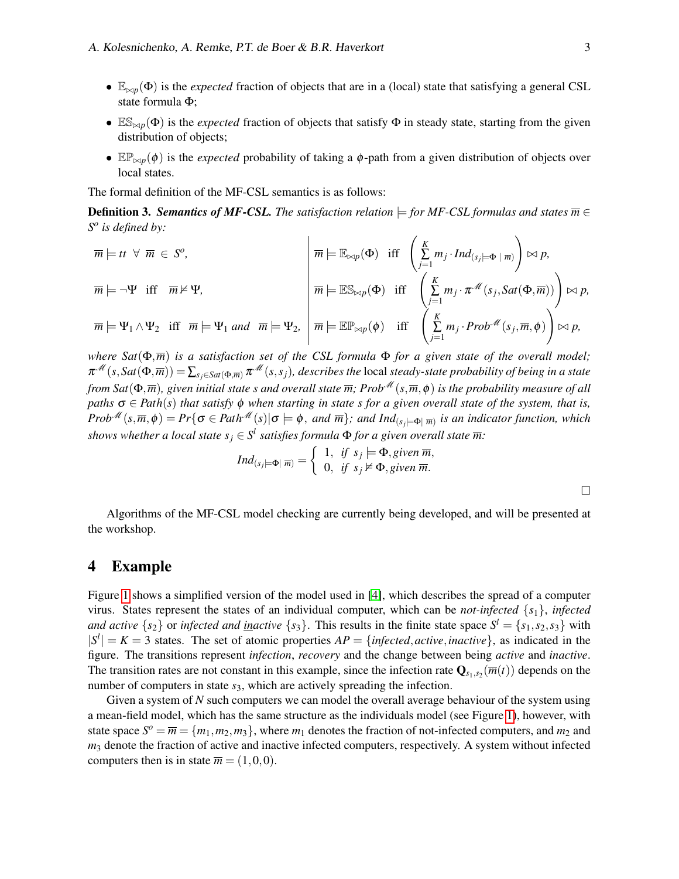- $\mathbb{E}_{\bowtie p}(\Phi)$  is the *expected* fraction of objects that are in a (local) state that satisfying a general CSL state formula Φ;
- $\mathbb{ES}_{\bowtie p}(\Phi)$  is the *expected* fraction of objects that satisfy  $\Phi$  in steady state, starting from the given distribution of objects;
- $\mathbb{E} \mathbb{P}_{\bowtie p}(\phi)$  is the *expected* probability of taking a  $\phi$ -path from a given distribution of objects over local states.

The formal definition of the MF-CSL semantics is as follows:

**Definition 3. Semantics of MF-CSL.** The satisfaction relation  $\models$  for MF-CSL formulas and states  $\overline{m} \in$ *S o is defined by:*

 $\overline{m} \models$  *tt*  $\forall \ \overline{m} \in S^o$ ,  $\overline{m} \models \mathbb{E}_{\bowtie p}(\Phi) \ \ \text{iff} \ \ \left( \frac{K}{\Sigma} \right)$  $\sum_{j=1}^{\infty} m_j \cdot Ind_{(s_j\models\Phi \mid \overline{m})}$  $\setminus$  $\bowtie p$ ,  $\overline{m} \models \neg \Psi \text{ iff } \overline{m} \nvDash \Psi,$   $\boxed{\frac{m}{m} \models \mathbb{ES}_{\bowtie p}(\Phi) \text{ iff } \left(\frac{K}{\sum_{i=1}^{n} m_i}\right)}$  $\sum_{j=1}^K m_j \cdot \pi^{\mathcal{M}}(s_j, Sat(\Phi, \overline{m})) \bigg) \bowtie p,$  $\overline{m} \models \Psi_1 \wedge \Psi_2$  iff  $\overline{m} \models \Psi_1$  *and*  $\overline{m} \models \Psi_2$ ,  $\boxed{\overline{m} \models \mathbb{EP}_{\bowtie p}(\phi)}$  iff  $\left(\frac{K}{\sum_{i=1}^{k} m_i}\right)$  $\sum_{j=1}^{\infty} m_j \cdot Prob^{\mathcal{M}}(s_j, \overline{m}, \phi)$  $\setminus$  $\bowtie$   $p$ ,

*where Sat*(Φ,*m*) *is a satisfaction set of the CSL formula* Φ *for a given state of the overall model;*  $\pi^M(s, Sat(\Phi, \overline{m})) = \sum_{s_i \in Sat(\Phi, \overline{m})} \pi^M(s, s_i)$ , describes the local steady-state probability of being in a state *from Sat*( $\Phi$ , $\overline{m}$ ), given initial state s and overall state  $\overline{m}$ ; Prob $^{\mathcal{M}}(s,\overline{m},\phi)$  is the probability measure of all *paths*  $\sigma \in Path(s)$  *that satisfy*  $\phi$  *when starting in state s for a given overall state of the system, that is,*  $Prob^{\mathscr{M}}(s,\overline{m},\phi) = Pr\{\sigma \in Path^{\mathscr{M}}(s)|\sigma \models \phi, \text{ and } \overline{m}\}; \text{ and } Ind_{(s_j\models \Phi(\overline{m})} \text{ is an indicator function, which}$ *shows whether a local state*  $s_j \in S^l$  *satisfies formula*  $\Phi$  *for a given overall state*  $\overline{m}$ :

$$
Ind_{(s_j\models\Phi|\ \overline{m})}=\left\{\begin{array}{ll}1, & \text{if } s_j\models\Phi, \text{given }\overline{m},\\0, & \text{if } s_j\nvdash\Phi, \text{given }\overline{m}.\end{array}\right.
$$

Algorithms of the MF-CSL model checking are currently being developed, and will be presented at the workshop.

#### 4 Example

Figure [1](#page-3-6) shows a simplified version of the model used in [\[4\]](#page-3-1), which describes the spread of a computer virus. States represent the states of an individual computer, which can be *not-infected* {*s*1}, *infected and active*  $\{s_2\}$  or *infected and <u>in</u>active*  $\{s_3\}$ . This results in the finite state space  $S^l = \{s_1, s_2, s_3\}$  with  $|S^l| = K = 3$  states. The set of atomic properties  $AP = \{infected, active, inactive\}$ , as indicated in the figure. The transitions represent *infection*, *recovery* and the change between being *active* and *inactive*. The transition rates are not constant in this example, since the infection rate  $Q_{s_1,s_2}(\overline{m}(t))$  depends on the number of computers in state  $s_3$ , which are actively spreading the infection.

Given a system of *N* such computers we can model the overall average behaviour of the system using a mean-field model, which has the same structure as the individuals model (see Figure [1\)](#page-3-6), however, with state space  $S^{\circ} = \overline{m} = \{m_1, m_2, m_3\}$ , where  $m_1$  denotes the fraction of not-infected computers, and  $m_2$  and *m*<sup>3</sup> denote the fraction of active and inactive infected computers, respectively. A system without infected computers then is in state  $\overline{m} = (1,0,0)$ .

 $\Box$